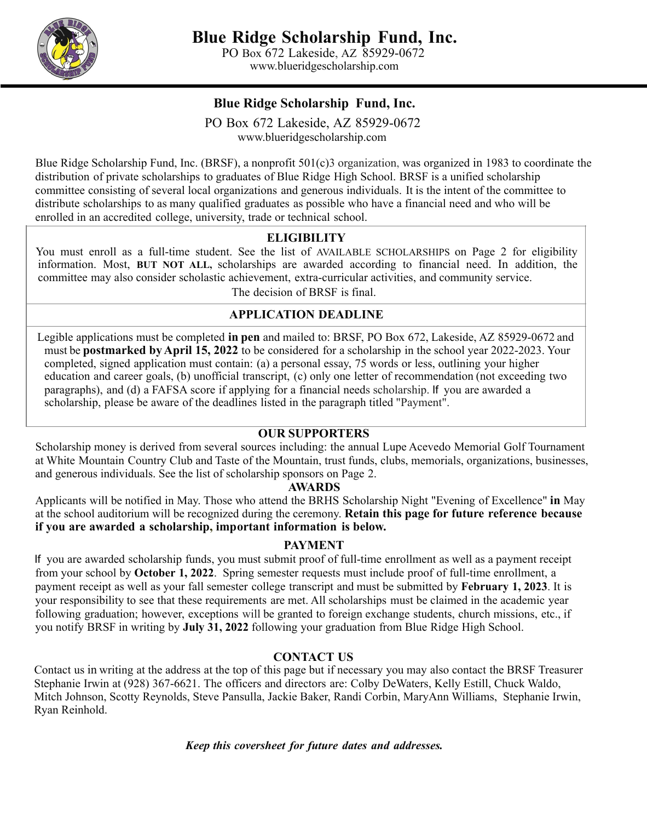

[www.blueridgescholarship.com](http://www.blueridgescholarship.com/)

### **Blue Ridge Scholarship Fund, Inc.**

PO Box 672 Lakeside, AZ 85929-0672 [www.blueridgescholarship.com](http://www.blueridgescholarship.com/)

Blue Ridge Scholarship Fund, Inc. (BRSF), a nonprofit 501(c)3 organization, was organized in 1983 to coordinate the distribution of private scholarships to graduates of Blue Ridge High School. BRSF is a unified scholarship committee consisting of several local organizations and generous individuals. It is the intent of the committee to distribute scholarships to as many qualified graduates as possible who have a financial need and who will be enrolled in an accredited college, university, trade or technical school.

### **ELIGIBILITY**

You must enroll as a full-time student. See the list of AVAILABLE SCHOLARSHIPS on Page 2 for eligibility information. Most, **BUT NOT ALL,** scholarships are awarded according to financial need. In addition, the committee may also consider scholastic achievement, extra-curricular activities, and community service. The decision of BRSF is final.

# **APPLICATION DEADLINE**

Legible applications must be completed **in pen** and mailed to: BRSF, PO Box 672, Lakeside, AZ 85929-0672 and must be **postmarked byApril 15, 2022** to be considered for a scholarship in the school year 2022-2023. Your completed, signed application must contain: (a) a personal essay, 75 words or less, outlining your higher education and career goals, (b) unofficial transcript, (c) only one letter of recommendation (not exceeding two paragraphs), and (d) a FAFSA score if applying for a financial needs scholarship. If you are awarded a scholarship, please be aware of the deadlines listed in the paragraph titled "Payment".

#### **OUR SUPPORTERS**

Scholarship money is derived from several sources including: the annual Lupe Acevedo Memorial Golf Tournament at White Mountain Country Club and Taste of the Mountain, trust funds, clubs, memorials, organizations, businesses, and generous individuals. See the list of scholarship sponsors on Page 2.

#### **AWARDS**

Applicants will be notified in May. Those who attend the BRHS Scholarship Night "Evening of Excellence" **in** May at the school auditorium will be recognized during the ceremony. **Retain this page for future reference because if you are awarded a scholarship, important information is below.**

#### **PAYMENT**

If you are awarded scholarship funds, you must submit proof of full-time enrollment as well as a payment receipt from your school by **October 1, 2022**. Spring semester requests must include proof of full-time enrollment, a payment receipt as well as your fall semester college transcript and must be submitted by **February 1, 2023**. It is your responsibility to see that these requirements are met. All scholarships must be claimed in the academic year following graduation; however, exceptions will be granted to foreign exchange students, church missions, etc., if you notify BRSF in writing by **July 31, 2022** following your graduation from Blue Ridge High School.

### **CONTACT US**

Contact us in writing at the address at the top of this page but if necessary you may also contact the BRSF Treasurer Stephanie Irwin at (928) 367-6621. The officers and directors are: Colby DeWaters, Kelly Estill, Chuck Waldo, Mitch Johnson, Scotty Reynolds, Steve Pansulla, Jackie Baker, Randi Corbin, MaryAnn Williams, Stephanie Irwin, Ryan Reinhold.

*Keep this coversheet for future dates and addresses.*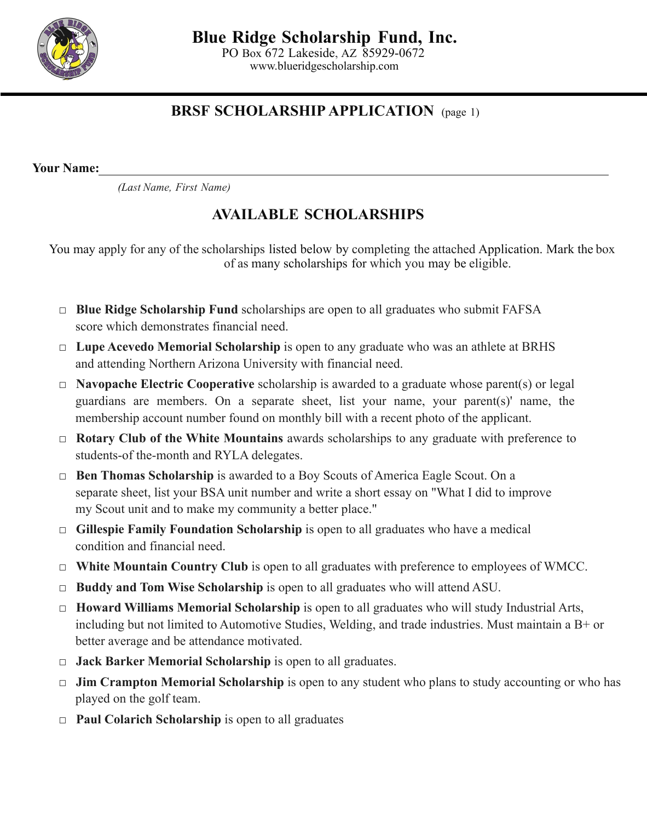

PO Box 672 Lakeside, AZ 85929-0672 [www.blueridgescholarship.com](http://www.blueridgescholarship.com/)

## **BRSF SCHOLARSHIP APPLICATION** (page 1)

**Your Name:**

*(Last Name, First Name)*

# **AVAILABLE SCHOLARSHIPS**

You may apply for any of the scholarships listed below by completing the attached Application. Mark the box of as many scholarships for which you may be eligible.

- □ **Blue Ridge Scholarship Fund** scholarships are open to all graduates who submit FAFSA score which demonstrates financial need.
- □ **Lupe Acevedo Memorial Scholarship** is open to any graduate who was an athlete at BRHS and attending Northern Arizona University with financial need.
- □ **Navopache Electric Cooperative** scholarship is awarded to a graduate whose parent(s) or legal guardians are members. On a separate sheet, list your name, your parent(s)' name, the membership account number found on monthly bill with a recent photo of the applicant.
- □ **Rotary Club of the White Mountains** awards scholarships to any graduate with preference to students-of the-month and RYLA delegates.
- □ **Ben Thomas Scholarship** is awarded to a Boy Scouts of America Eagle Scout. On a separate sheet, list your BSA unit number and write a short essay on "What I did to improve my Scout unit and to make my community a better place."
- □ **Gillespie Family Foundation Scholarship** is open to all graduates who have a medical condition and financial need.
- □ **White Mountain Country Club** is open to all graduates with preference to employees of WMCC.
- □ **Buddy and Tom Wise Scholarship** is open to all graduates who will attend ASU.
- □ **Howard Williams Memorial Scholarship** is open to all graduates who will study Industrial Arts, including but not limited to Automotive Studies, Welding, and trade industries. Must maintain a B+ or better average and be attendance motivated.
- □ **Jack Barker Memorial Scholarship** is open to all graduates.
- □ **Jim Crampton Memorial Scholarship** is open to any student who plans to study accounting or who has played on the golf team.
- □ **Paul Colarich Scholarship** is open to all graduates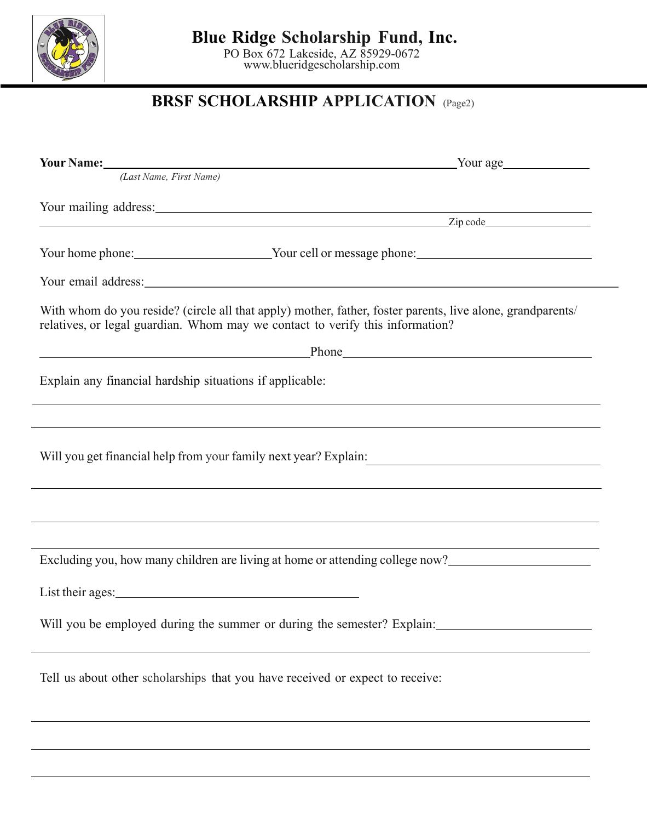

## **Blue Ridge Scholarship Fund, Inc.**

PO Box 672 Lakeside, AZ 85929-0672 [www.blueridgescholarship.com](http://www.blueridgescholarship.com/)

# **BRSF SCHOLARSHIP APPLICATION** (Page2)

| <b>Your Name:</b> Your Name:                                                                                                                                                                                                   | Your age                                                                                                   |
|--------------------------------------------------------------------------------------------------------------------------------------------------------------------------------------------------------------------------------|------------------------------------------------------------------------------------------------------------|
| (Last Name, First Name)                                                                                                                                                                                                        |                                                                                                            |
|                                                                                                                                                                                                                                |                                                                                                            |
|                                                                                                                                                                                                                                |                                                                                                            |
|                                                                                                                                                                                                                                | Your home phone: Vour cell or message phone: Vour cell or message phone:                                   |
| Your email address: Now the same state of the state of the state of the state of the state of the state of the state of the state of the state of the state of the state of the state of the state of the state of the state o |                                                                                                            |
| relatives, or legal guardian. Whom may we contact to verify this information?                                                                                                                                                  | With whom do you reside? (circle all that apply) mother, father, foster parents, live alone, grandparents/ |
| <u> 1989 - Johann Barn, amerikansk politiker (</u>                                                                                                                                                                             | Phone Phone                                                                                                |
| Explain any financial hardship situations if applicable:                                                                                                                                                                       |                                                                                                            |
|                                                                                                                                                                                                                                |                                                                                                            |
| Will you get financial help from your family next year? Explain:                                                                                                                                                               | <u> 1980 - Andrea Andrew Maria (h. 1980).</u>                                                              |
|                                                                                                                                                                                                                                |                                                                                                            |
|                                                                                                                                                                                                                                |                                                                                                            |
|                                                                                                                                                                                                                                | Excluding you, how many children are living at home or attending college now?                              |
|                                                                                                                                                                                                                                |                                                                                                            |
|                                                                                                                                                                                                                                | Will you be employed during the summer or during the semester? Explain:                                    |
| Tell us about other scholarships that you have received or expect to receive:                                                                                                                                                  |                                                                                                            |
|                                                                                                                                                                                                                                |                                                                                                            |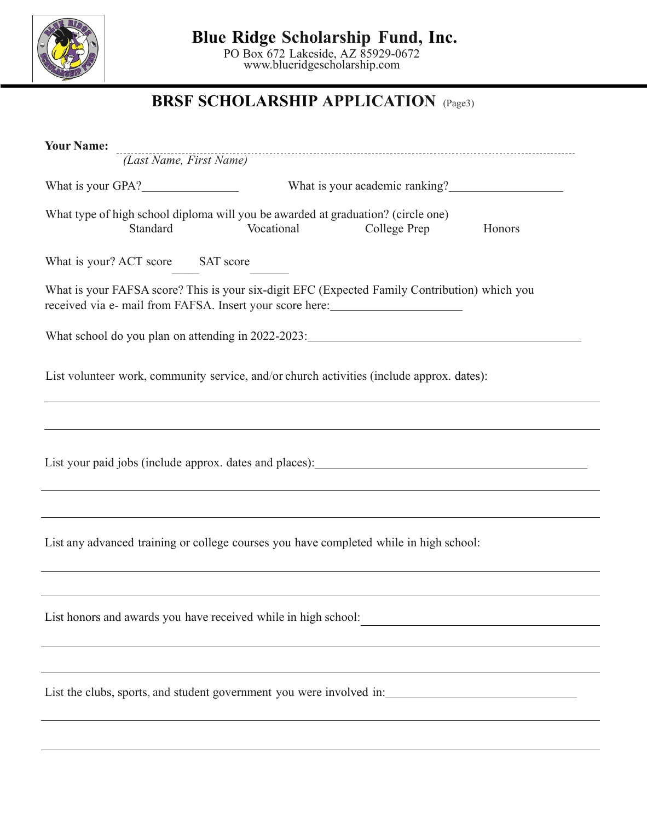

**Blue Ridge Scholarship Fund, Inc.**

PO Box 672 Lakeside, AZ 85929-0672 [www.blueridgescholarship.com](http://www.blueridgescholarship.com/)

# **BRSF SCHOLARSHIP APPLICATION** (Page3)

| <b>Your Name:</b> |                                   |            | (Last Name, First Name)                                                                                                                                   |        |  |  |
|-------------------|-----------------------------------|------------|-----------------------------------------------------------------------------------------------------------------------------------------------------------|--------|--|--|
|                   |                                   |            |                                                                                                                                                           |        |  |  |
|                   | What is your GPA?                 |            | What is your academic ranking?                                                                                                                            |        |  |  |
|                   | Standard                          | Vocational | What type of high school diploma will you be awarded at graduation? (circle one)<br>College Prep                                                          | Honors |  |  |
|                   | What is your? ACT score SAT score |            |                                                                                                                                                           |        |  |  |
|                   |                                   |            | What is your FAFSA score? This is your six-digit EFC (Expected Family Contribution) which you<br>received via e- mail from FAFSA. Insert your score here: |        |  |  |
|                   |                                   |            | What school do you plan on attending in 2022-2023:                                                                                                        |        |  |  |
|                   |                                   |            | List volunteer work, community service, and/or church activities (include approx. dates):                                                                 |        |  |  |
|                   |                                   |            |                                                                                                                                                           |        |  |  |
|                   |                                   |            | List your paid jobs (include approx. dates and places): _________________________                                                                         |        |  |  |
|                   |                                   |            |                                                                                                                                                           |        |  |  |
|                   |                                   |            | List any advanced training or college courses you have completed while in high school:                                                                    |        |  |  |
|                   |                                   |            |                                                                                                                                                           |        |  |  |
|                   |                                   |            | List honors and awards you have received while in high school:                                                                                            |        |  |  |
|                   |                                   |            |                                                                                                                                                           |        |  |  |
|                   |                                   |            | List the clubs, sports, and student government you were involved in:                                                                                      |        |  |  |
|                   |                                   |            |                                                                                                                                                           |        |  |  |